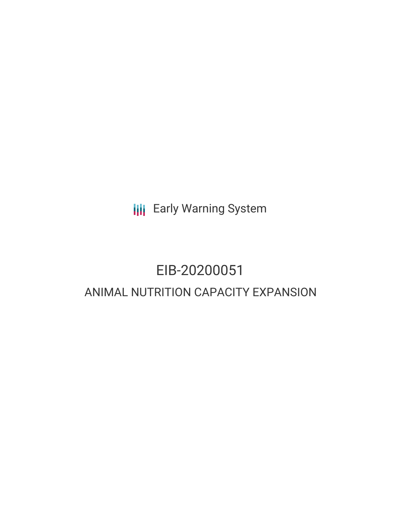**III** Early Warning System

# EIB-20200051 ANIMAL NUTRITION CAPACITY EXPANSION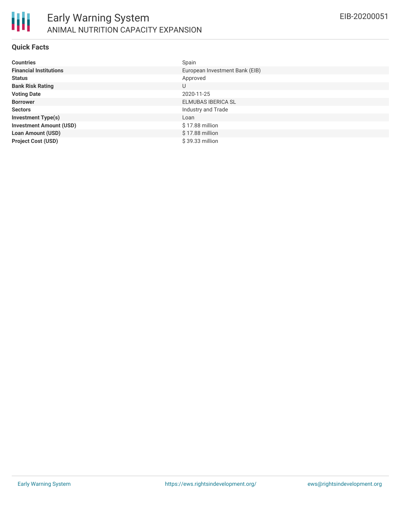

### **Quick Facts**

| <b>Countries</b>               | Spain                          |
|--------------------------------|--------------------------------|
| <b>Financial Institutions</b>  | European Investment Bank (EIB) |
| <b>Status</b>                  | Approved                       |
| <b>Bank Risk Rating</b>        | U                              |
| <b>Voting Date</b>             | 2020-11-25                     |
| <b>Borrower</b>                | <b>ELMUBAS IBERICA SL</b>      |
| <b>Sectors</b>                 | Industry and Trade             |
| <b>Investment Type(s)</b>      | Loan                           |
| <b>Investment Amount (USD)</b> | \$17.88 million                |
| <b>Loan Amount (USD)</b>       | $$17.88$ million               |
| <b>Project Cost (USD)</b>      | $$39.33$ million               |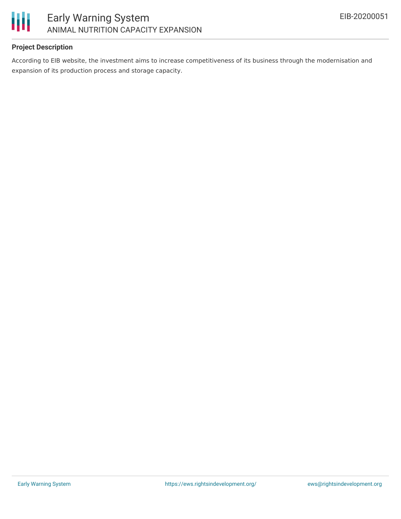

## **Project Description**

According to EIB website, the investment aims to increase competitiveness of its business through the modernisation and expansion of its production process and storage capacity.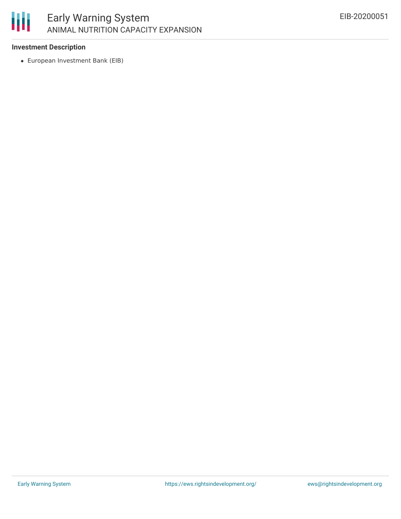

### **Investment Description**

European Investment Bank (EIB)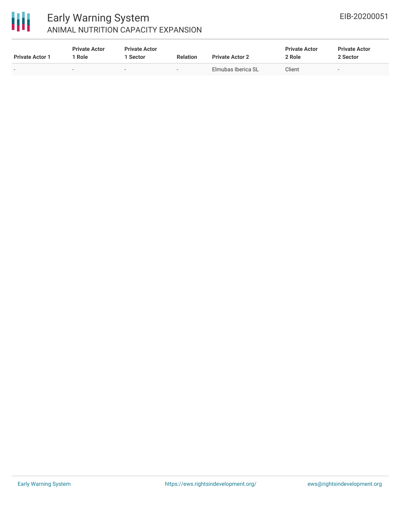

# Early Warning System ANIMAL NUTRITION CAPACITY EXPANSION

| <b>Private Actor 1</b> | <b>Private Actor</b><br>1 Role | <b>Private Actor</b><br><b>Sector</b> | <b>Relation</b> | <b>Private Actor 2</b> | <b>Private Actor</b><br>2 Role | <b>Private Actor</b><br>2 Sector |  |
|------------------------|--------------------------------|---------------------------------------|-----------------|------------------------|--------------------------------|----------------------------------|--|
|                        | $\sim$                         | $\sim$                                | . .             | Elmubas Iberica SL     | Client                         | -                                |  |